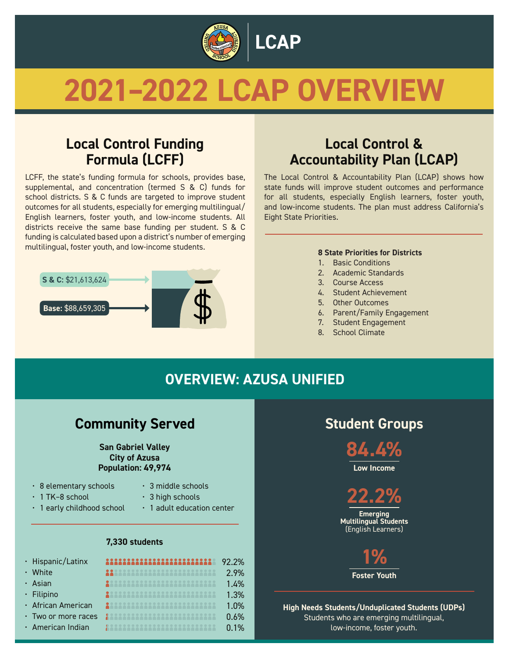

# **2021–2022 LCAP OVERVIEW**

## **Local Control Funding Formula (LCFF)**

LCFF, the state's funding formula for schools, provides base, supplemental, and concentration (termed S & C) funds for school districts. S & C funds are targeted to improve student outcomes for all students, especially for emerging multilingual/ English learners, foster youth, and low-income students. All districts receive the same base funding per student. S & C funding is calculated based upon a district's number of emerging multilingual, foster youth, and low-income students.



## **Local Control & Accountability Plan (LCAP)**

The Local Control & Accountability Plan (LCAP) shows how state funds will improve student outcomes and performance for all students, especially English learners, foster youth, and low-income students. The plan must address California's Eight State Priorities.

#### **8 State Priorities for Districts**

- 1. Basic Conditions
- 2. Academic Standards
- 3. Course Access
- 4. Student Achievement
- 5. Other Outcomes
- 6. Parent/Family Engagement
- 7. Student Engagement
- 8. School Climate

## **OVERVIEW: AZUSA UNIFIED**

#### **Community Served Community Served Community Served Community Student Groups**

#### **San Gabriel Valley City of Azusa Population: 49,974**

- 8 elementary schools
- 3 middle schools
- 1 TK–8 school
- $\cdot$  3 high schools
- 1 early childhood school

• 1 adult education center

#### **7,330 students**

| · Hispanic/Latinx         | 111111111111111111111111    | 92.2% |
|---------------------------|-----------------------------|-------|
| • White                   | 22332222222222222222222222  | 2.9%  |
| · Asian                   | 2888888888888888888888888   | 1.4%  |
| · Filipino                | 28888888888888888888888888  | 1.3%  |
| · African American        | 200022222222222222222222222 | 1.0%  |
| $\cdot$ Two or more races | 122233333333333333333333    | 0.6%  |
| · American Indian         | 12222222222222222222222222  | 0.1%  |
|                           |                             |       |

**84.4%**

**Low Income**

**Emerging Multilingual Students**  (English Learners) **22.2%**



**High Needs Students/Unduplicated Students (UDPs)** Students who are emerging multilingual, low-income, foster youth.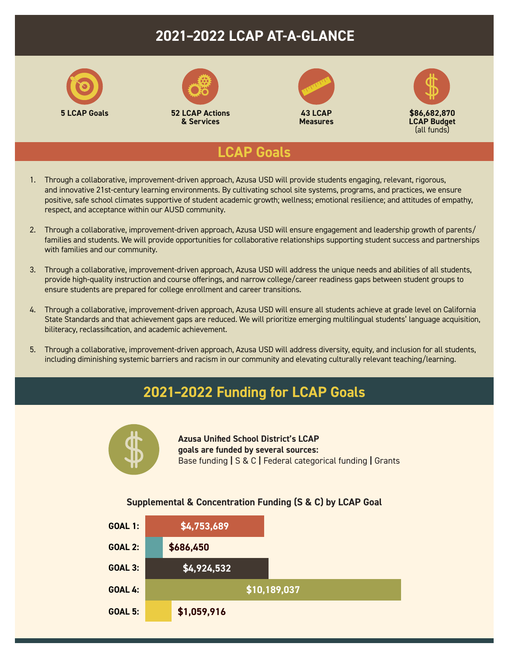## **2021–2022 LCAP AT-A-GLANCE**



#### **LCAP Goals**

- 1. Through a collaborative, improvement-driven approach, Azusa USD will provide students engaging, relevant, rigorous, and innovative 21st-century learning environments. By cultivating school site systems, programs, and practices, we ensure positive, safe school climates supportive of student academic growth; wellness; emotional resilience; and attitudes of empathy, respect, and acceptance within our AUSD community.
- 2. Through a collaborative, improvement-driven approach, Azusa USD will ensure engagement and leadership growth of parents/ families and students. We will provide opportunities for collaborative relationships supporting student success and partnerships with families and our community.
- 3. Through a collaborative, improvement-driven approach, Azusa USD will address the unique needs and abilities of all students, provide high-quality instruction and course offerings, and narrow college/career readiness gaps between student groups to ensure students are prepared for college enrollment and career transitions.
- 4. Through a collaborative, improvement-driven approach, Azusa USD will ensure all students achieve at grade level on California State Standards and that achievement gaps are reduced. We will prioritize emerging multilingual students' language acquisition, biliteracy, reclassification, and academic achievement.
- 5. Through a collaborative, improvement-driven approach, Azusa USD will address diversity, equity, and inclusion for all students, including diminishing systemic barriers and racism in our community and elevating culturally relevant teaching/learning.

### **2021–2022 Funding for LCAP Goals**



**Azusa Unified School District's LCAP goals are funded by several sources:**  Base funding **|** S & C **|** Federal categorical funding **|** Grants

#### **Supplemental & Concentration Funding (S & C) by LCAP Goal**

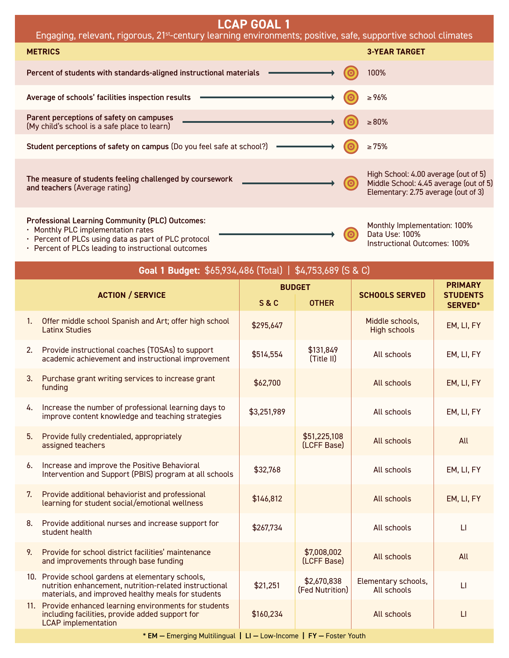| <b>LCAP GOAL 1</b><br>Engaging, relevant, rigorous, 21 <sup>st</sup> -century learning environments; positive, safe, supportive school climates                                                      |  |                                                                                                                       |  |  |  |
|------------------------------------------------------------------------------------------------------------------------------------------------------------------------------------------------------|--|-----------------------------------------------------------------------------------------------------------------------|--|--|--|
| <b>METRICS</b>                                                                                                                                                                                       |  | <b>3-YEAR TARGET</b>                                                                                                  |  |  |  |
| Percent of students with standards-aligned instructional materials                                                                                                                                   |  | 100%                                                                                                                  |  |  |  |
| Average of schools' facilities inspection results                                                                                                                                                    |  | $\ge 96\%$                                                                                                            |  |  |  |
| Parent perceptions of safety on campuses<br>(My child's school is a safe place to learn)                                                                                                             |  | $\geq 80\%$                                                                                                           |  |  |  |
| Student perceptions of safety on campus (Do you feel safe at school?)                                                                                                                                |  | $\geq 75\%$                                                                                                           |  |  |  |
| The measure of students feeling challenged by coursework<br>and teachers (Average rating)                                                                                                            |  | High School: 4.00 average (out of 5)<br>Middle School: 4.45 average (out of 5)<br>Elementary: 2.75 average (out of 3) |  |  |  |
| <b>Professional Learning Community (PLC) Outcomes:</b><br>$M = +k \cdot h \cdot \mathbf{D} \cdot \mathbf{C}$ isomorphic to the second section of the second section of $\mathbf{D} \cdot \mathbf{C}$ |  | Monthly Implementation: 100%                                                                                          |  |  |  |

Data Use: 100%

 $\boldsymbol{\odot}$ 

Instructional Outcomes: 100%

- Monthly PLC implementation rates
- Percent of PLCs using data as part of PLC protocol
- Percent of PLCs leading to instructional outcomes

|    | Goal 1 Budget: \$65,934,486 (Total)   \$4,753,689 (S & C)                                                                                                         |                |                                |                                        |                                              |  |
|----|-------------------------------------------------------------------------------------------------------------------------------------------------------------------|----------------|--------------------------------|----------------------------------------|----------------------------------------------|--|
|    | <b>ACTION / SERVICE</b>                                                                                                                                           | <b>S&amp;C</b> | <b>BUDGET</b><br><b>OTHER</b>  | <b>SCHOOLS SERVED</b>                  | <b>PRIMARY</b><br><b>STUDENTS</b><br>SERVED* |  |
| 1. | Offer middle school Spanish and Art; offer high school<br><b>Latinx Studies</b>                                                                                   | \$295,647      |                                | Middle schools,<br><b>High schools</b> | EM, LI, FY                                   |  |
| 2. | Provide instructional coaches (TOSAs) to support<br>academic achievement and instructional improvement                                                            | \$514,554      | \$131,849<br>(Title II)        | All schools                            | EM, LI, FY                                   |  |
| 3. | Purchase grant writing services to increase grant<br>funding                                                                                                      | \$62,700       |                                | All schools                            | EM, LI, FY                                   |  |
| 4. | Increase the number of professional learning days to<br>improve content knowledge and teaching strategies                                                         | \$3,251,989    |                                | All schools                            | EM, LI, FY                                   |  |
| 5. | Provide fully credentialed, appropriately<br>assigned teachers                                                                                                    |                | \$51,225,108<br>(LCFF Base)    | All schools                            | All                                          |  |
| 6. | Increase and improve the Positive Behavioral<br>Intervention and Support (PBIS) program at all schools                                                            | \$32,768       |                                | All schools                            | EM, LI, FY                                   |  |
| 7. | Provide additional behaviorist and professional<br>learning for student social/emotional wellness                                                                 | \$146,812      |                                | All schools                            | EM, LI, FY                                   |  |
| 8. | Provide additional nurses and increase support for<br>student health                                                                                              | \$267,734      |                                | All schools                            | $\Box$                                       |  |
| 9. | Provide for school district facilities' maintenance<br>and improvements through base funding                                                                      |                | \$7,008,002<br>(LCFF Base)     | All schools                            | All                                          |  |
|    | 10. Provide school gardens at elementary schools,<br>nutrition enhancement, nutrition-related instructional<br>materials, and improved healthy meals for students | \$21,251       | \$2,670,838<br>(Fed Nutrition) | Elementary schools,<br>All schools     | $\mathsf{L}$                                 |  |
|    | 11. Provide enhanced learning environments for students<br>including facilities, provide added support for<br><b>LCAP</b> implementation                          | \$160,234      |                                | All schools                            | $\mathsf{L}$                                 |  |

\* EM — Emerging Multilingual **|** LI — Low-Income **|** FY — Foster Youth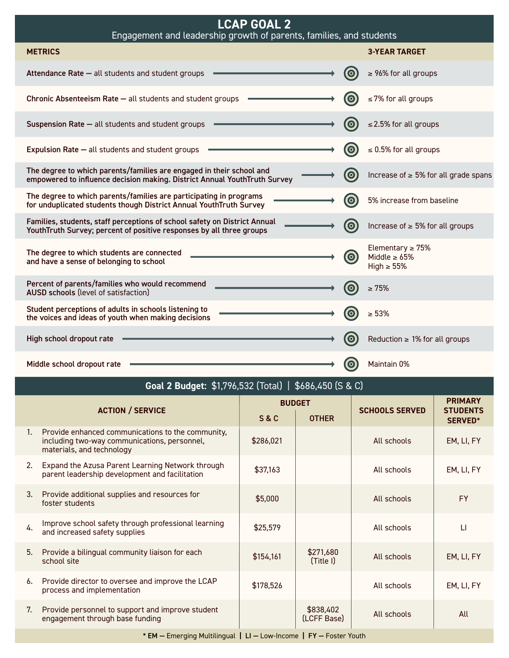| <b>LCAP GOAL 2</b><br>Engagement and leadership growth of parents, families, and students                                                         |                       |                                                                 |  |  |  |
|---------------------------------------------------------------------------------------------------------------------------------------------------|-----------------------|-----------------------------------------------------------------|--|--|--|
| <b>METRICS</b>                                                                                                                                    |                       | <b>3-YEAR TARGET</b>                                            |  |  |  |
| Attendance Rate - all students and student groups                                                                                                 | $\bullet$             | $\geq$ 96% for all groups                                       |  |  |  |
| Chronic Absenteeism Rate - all students and student groups                                                                                        | $\bullet$             | $\leq$ 7% for all groups                                        |  |  |  |
| Suspension Rate - all students and student groups                                                                                                 | $\bullet$             | $\leq$ 2.5% for all groups                                      |  |  |  |
| <b>Expulsion Rate - all students and student groups</b>                                                                                           | $\bullet$             | $\leq$ 0.5% for all groups                                      |  |  |  |
| The degree to which parents/families are engaged in their school and<br>empowered to influence decision making. District Annual YouthTruth Survey | $\boldsymbol{\Theta}$ | Increase of $\geq 5\%$ for all grade spans                      |  |  |  |
| The degree to which parents/families are participating in programs<br>for unduplicated students though District Annual YouthTruth Survey          | $\boldsymbol{\Theta}$ | 5% increase from baseline                                       |  |  |  |
| Families, students, staff perceptions of school safety on District Annual<br>YouthTruth Survey; percent of positive responses by all three groups | $\bm{\Theta}$         | Increase of $\geq 5\%$ for all groups                           |  |  |  |
| The degree to which students are connected<br>and have a sense of belonging to school                                                             | $\odot$               | Elementary $\geq$ 75%<br>Middle $\geq 65\%$<br>High $\geq 55\%$ |  |  |  |
| Percent of parents/families who would recommend<br><b>AUSD schools (level of satisfaction)</b>                                                    | $\bullet$             | $\geq 75%$                                                      |  |  |  |
| Student perceptions of adults in schools listening to<br>the voices and ideas of youth when making decisions                                      | $\bullet$             | $\geq 53\%$                                                     |  |  |  |
| High school dropout rate                                                                                                                          | $\bullet$             | Reduction ≥ 1% for all groups                                   |  |  |  |
| Middle school dropout rate                                                                                                                        | $\bullet$             | Maintain 0%                                                     |  |  |  |
| <b>Goal 2 Budget: \$1,796,532 (Total)   \$686,450 (S &amp; C)</b>                                                                                 |                       |                                                                 |  |  |  |

Г

| <b>ACTION / SERVICE</b>                                                                                                        |           |                          |               | <b>PRIMARY</b><br><b>STUDENTS</b> |  |
|--------------------------------------------------------------------------------------------------------------------------------|-----------|--------------------------|---------------|-----------------------------------|--|
|                                                                                                                                |           | <b>OTHER</b>             |               | <b>SERVED*</b>                    |  |
| Provide enhanced communications to the community,<br>including two-way communications, personnel,<br>materials, and technology | \$286,021 |                          | All schools   | EM, LI, FY                        |  |
| Expand the Azusa Parent Learning Network through<br>parent leadership development and facilitation                             | \$37,163  |                          | All schools   | EM, LI, FY                        |  |
| Provide additional supplies and resources for<br>foster students                                                               | \$5,000   |                          | All schools   | <b>FY</b>                         |  |
| Improve school safety through professional learning<br>and increased safety supplies                                           | \$25,579  |                          | All schools   | $\Box$                            |  |
| Provide a bilingual community liaison for each<br>school site                                                                  | \$154,161 | \$271,680<br>(Title I)   | All schools   | EM, LI, FY                        |  |
| Provide director to oversee and improve the LCAP<br>process and implementation                                                 | \$178,526 |                          | All schools   | EM, LI, FY                        |  |
| Provide personnel to support and improve student<br>engagement through base funding                                            |           | \$838,402<br>(LCFF Base) | All schools   | All                               |  |
|                                                                                                                                |           | <b>S&amp;C</b>           | <b>BUDGET</b> | <b>SCHOOLS SERVED</b>             |  |

\* EM — Emerging Multilingual **|** LI — Low-Income **|** FY — Foster Youth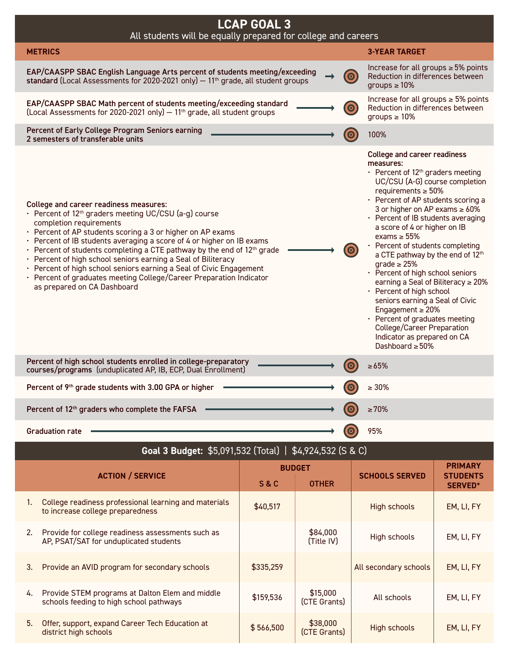

| <b>Goal 3 Budget:</b> \$5,091,532 (10tal)   \$4,924,532 (S & C) |                                                                                             |                |                          |                       |                                   |
|-----------------------------------------------------------------|---------------------------------------------------------------------------------------------|----------------|--------------------------|-----------------------|-----------------------------------|
| <b>ACTION / SERVICE</b>                                         |                                                                                             | <b>BUDGET</b>  |                          |                       | <b>PRIMARY</b>                    |
|                                                                 |                                                                                             | <b>S&amp;C</b> | <b>OTHER</b>             | <b>SCHOOLS SERVED</b> | <b>STUDENTS</b><br><b>SERVED*</b> |
| 1.                                                              | College readiness professional learning and materials<br>to increase college preparedness   | \$40,517       |                          | High schools          | EM, LI, FY                        |
| 2.                                                              | Provide for college readiness assessments such as<br>AP, PSAT/SAT for unduplicated students |                | \$84,000<br>(Title IV)   | High schools          | EM, LI, FY                        |
| 3.                                                              | Provide an AVID program for secondary schools                                               | \$335,259      |                          | All secondary schools | EM, LI, FY                        |
| 4.                                                              | Provide STEM programs at Dalton Elem and middle<br>schools feeding to high school pathways  | \$159,536      | \$15,000<br>(CTE Grants) | All schools           | EM, LI, FY                        |
| 5 <sub>1</sub>                                                  | Offer, support, expand Career Tech Education at<br>district high schools                    | \$566,500      | \$38,000<br>(CTE Grants) | High schools          | EM, LI, FY                        |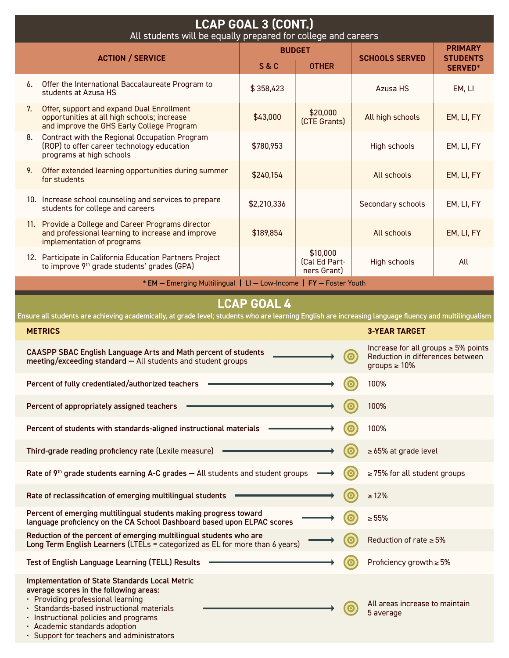| <b>LCAP GOAL 3 (CONT.)</b><br>All students will be equally prepared for college and careers                                                                                                                                                                                                                                                             |                                                                                                                                                                         |                    |                                          |                                                                                                                 |            |
|---------------------------------------------------------------------------------------------------------------------------------------------------------------------------------------------------------------------------------------------------------------------------------------------------------------------------------------------------------|-------------------------------------------------------------------------------------------------------------------------------------------------------------------------|--------------------|------------------------------------------|-----------------------------------------------------------------------------------------------------------------|------------|
| <b>BUDGET</b><br><b>ACTION / SERVICE</b><br><b>S&amp;C</b><br><b>OTHER</b>                                                                                                                                                                                                                                                                              |                                                                                                                                                                         |                    | <b>SCHOOLS SERVED</b>                    | <b>PRIMARY</b><br><b>STUDENTS</b><br><b>SERVED*</b>                                                             |            |
| 6.                                                                                                                                                                                                                                                                                                                                                      | Offer the International Baccalaureate Program to<br>students at Azusa HS                                                                                                | \$358,423          |                                          | Azusa HS                                                                                                        | EM, LI     |
| 7.                                                                                                                                                                                                                                                                                                                                                      | Offer, support and expand Dual Enrollment<br>opportunities at all high schools; increase<br>and improve the GHS Early College Program                                   | \$43,000           | \$20,000<br>(CTE Grants)                 | All high schools                                                                                                | EM, LI, FY |
| 8.                                                                                                                                                                                                                                                                                                                                                      | Contract with the Regional Occupation Program<br>(ROP) to offer career technology education<br>programs at high schools                                                 | \$780,953          |                                          | <b>High schools</b>                                                                                             | EM, LI, FY |
| 9.                                                                                                                                                                                                                                                                                                                                                      | Offer extended learning opportunities during summer<br>for students                                                                                                     | \$240,154          |                                          | All schools                                                                                                     | EM, LI, FY |
|                                                                                                                                                                                                                                                                                                                                                         | 10. Increase school counseling and services to prepare<br>students for college and careers                                                                              | \$2,210,336        |                                          | Secondary schools                                                                                               | EM, LI, FY |
|                                                                                                                                                                                                                                                                                                                                                         | 11. Provide a College and Career Programs director<br>and professional learning to increase and improve<br>implementation of programs                                   | \$189,854          |                                          | All schools                                                                                                     | EM, LI, FY |
|                                                                                                                                                                                                                                                                                                                                                         | 12. Participate in California Education Partners Project<br>to improve 9 <sup>th</sup> grade students' grades (GPA)                                                     |                    | \$10,000<br>(Cal Ed Part-<br>ners Grant) | <b>High schools</b>                                                                                             | All        |
|                                                                                                                                                                                                                                                                                                                                                         | * EM - Emerging Multilingual   LI - Low-Income   FY - Foster Youth                                                                                                      |                    |                                          |                                                                                                                 |            |
|                                                                                                                                                                                                                                                                                                                                                         |                                                                                                                                                                         | <b>LCAP GOAL 4</b> |                                          |                                                                                                                 |            |
|                                                                                                                                                                                                                                                                                                                                                         | Ensure all students are achieving academically, at grade level; students who are learning English are increasing language fluency and multilingualism<br><b>METRICS</b> |                    |                                          | <b>3-YEAR TARGET</b>                                                                                            |            |
|                                                                                                                                                                                                                                                                                                                                                         | <b>CAASPP SBAC English Language Arts and Math percent of students</b><br>meeting/exceeding standard - All students and student groups                                   |                    |                                          | Increase for all groups $\geq$ 5% points<br>$\bullet$<br>Reduction in differences between<br>groups $\geq 10\%$ |            |
|                                                                                                                                                                                                                                                                                                                                                         | Percent of fully credentialed/authorized teachers                                                                                                                       |                    |                                          | 100%                                                                                                            |            |
|                                                                                                                                                                                                                                                                                                                                                         | Percent of appropriately assigned teachers                                                                                                                              |                    |                                          | 100%                                                                                                            |            |
|                                                                                                                                                                                                                                                                                                                                                         | Percent of students with standards-aligned instructional materials                                                                                                      |                    |                                          | 100%                                                                                                            |            |
|                                                                                                                                                                                                                                                                                                                                                         | Third-grade reading proficiency rate (Lexile measure)                                                                                                                   |                    |                                          | $\geq 65\%$ at grade level                                                                                      |            |
|                                                                                                                                                                                                                                                                                                                                                         | Rate of 9 <sup>th</sup> grade students earning A-C grades - All students and student groups                                                                             |                    |                                          | $\geq$ 75% for all student groups                                                                               |            |
| Rate of reclassification of emerging multilingual students<br>$\geq 12\%$<br>O)                                                                                                                                                                                                                                                                         |                                                                                                                                                                         |                    |                                          |                                                                                                                 |            |
| Percent of emerging multilingual students making progress toward<br>$\geq 55\%$<br>language proficiency on the CA School Dashboard based upon ELPAC scores                                                                                                                                                                                              |                                                                                                                                                                         |                    |                                          |                                                                                                                 |            |
| Reduction of the percent of emerging multilingual students who are<br>Reduction of rate $\geq 5\%$<br>Long Term English Learners (LTELs = categorized as EL for more than 6 years)                                                                                                                                                                      |                                                                                                                                                                         |                    |                                          |                                                                                                                 |            |
|                                                                                                                                                                                                                                                                                                                                                         | Proficiency growth $\geq 5\%$<br>Test of English Language Learning (TELL) Results                                                                                       |                    |                                          |                                                                                                                 |            |
| <b>Implementation of State Standards Local Metric</b><br>average scores in the following areas:<br>· Providing professional learning<br>All areas increase to maintain<br>· Standards-based instructional materials<br>5 average<br>· Instructional policies and programs<br>· Academic standards adoption<br>· Support for teachers and administrators |                                                                                                                                                                         |                    |                                          |                                                                                                                 |            |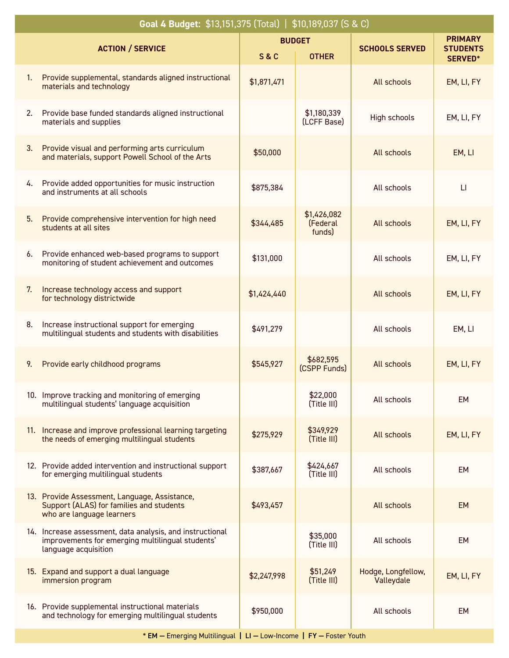|    | Goal 4 Budget: \$13,151,375 (Total)   \$10,189,037 (S & C)                                                                            |                |                                   |                                  |                                   |
|----|---------------------------------------------------------------------------------------------------------------------------------------|----------------|-----------------------------------|----------------------------------|-----------------------------------|
|    |                                                                                                                                       |                | <b>BUDGET</b>                     | <b>SCHOOLS SERVED</b>            | <b>PRIMARY</b>                    |
|    | <b>ACTION / SERVICE</b>                                                                                                               | <b>S&amp;C</b> | <b>OTHER</b>                      |                                  | <b>STUDENTS</b><br><b>SERVED*</b> |
| 1. | Provide supplemental, standards aligned instructional<br>materials and technology                                                     | \$1,871,471    |                                   | All schools                      | EM, LI, FY                        |
| 2. | Provide base funded standards aligned instructional<br>materials and supplies                                                         |                | \$1,180,339<br>(LCFF Base)        | High schools                     | EM, LI, FY                        |
| 3. | Provide visual and performing arts curriculum<br>and materials, support Powell School of the Arts                                     | \$50,000       |                                   | All schools                      | EM, LI                            |
| 4. | Provide added opportunities for music instruction<br>and instruments at all schools                                                   | \$875,384      |                                   | All schools                      | $\Box$                            |
| 5. | Provide comprehensive intervention for high need<br>students at all sites                                                             | \$344,485      | \$1,426,082<br>(Federal<br>funds) | All schools                      | EM, LI, FY                        |
| 6. | Provide enhanced web-based programs to support<br>monitoring of student achievement and outcomes                                      | \$131,000      |                                   | All schools                      | EM, LI, FY                        |
| 7. | Increase technology access and support<br>for technology districtwide                                                                 | \$1,424,440    |                                   | All schools                      | EM, LI, FY                        |
| 8. | Increase instructional support for emerging<br>multilingual students and students with disabilities                                   | \$491,279      |                                   | All schools                      | EM, LI                            |
| 9. | Provide early childhood programs                                                                                                      | \$545,927      | \$682,595<br>(CSPP Funds)         | All schools                      | EM, LI, FY                        |
|    | 10. Improve tracking and monitoring of emerging<br>multilingual students' language acquisition                                        |                | \$22,000<br>(Title III)           | All schools                      | <b>EM</b>                         |
|    | 11. Increase and improve professional learning targeting<br>the needs of emerging multilingual students                               | \$275,929      | \$349,929<br>(Title III)          | All schools                      | EM, LI, FY                        |
|    | 12. Provide added intervention and instructional support<br>for emerging multilingual students                                        | \$387,667      | \$424,667<br>(Title III)          | All schools                      | <b>EM</b>                         |
|    | 13. Provide Assessment, Language, Assistance,<br>Support (ALAS) for families and students<br>who are language learners                | \$493,457      |                                   | All schools                      | <b>EM</b>                         |
|    | 14. Increase assessment, data analysis, and instructional<br>improvements for emerging multilingual students'<br>language acquisition |                | \$35,000<br>(Title III)           | All schools                      | <b>EM</b>                         |
|    | 15. Expand and support a dual language<br>immersion program                                                                           | \$2,247,998    | \$51,249<br>(Title III)           | Hodge, Longfellow,<br>Valleydale | EM, LI, FY                        |
|    | 16. Provide supplemental instructional materials<br>and technology for emerging multilingual students                                 | \$950,000      |                                   | All schools                      | <b>EM</b>                         |
|    |                                                                                                                                       |                |                                   |                                  |                                   |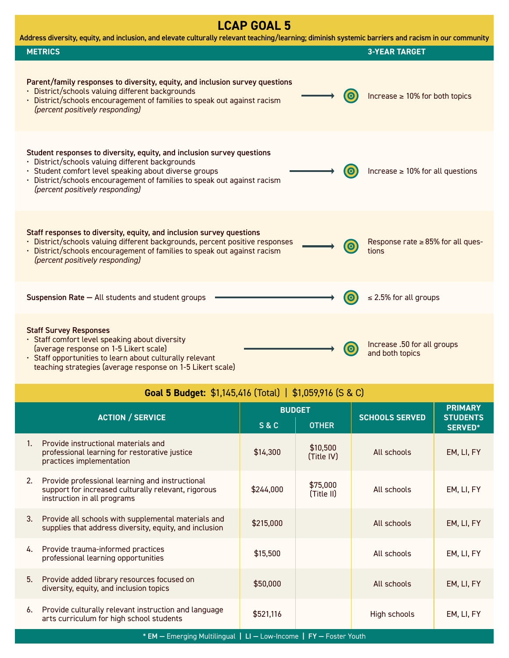## **LCAP GOAL 5**

| Address diversity, equity, and inclusion, and elevate culturally relevant teaching/learning; diminish systemic barriers and racism in our community |                                                                                                                                                                                                                                                                                                    |                                                 |  |  |  |
|-----------------------------------------------------------------------------------------------------------------------------------------------------|----------------------------------------------------------------------------------------------------------------------------------------------------------------------------------------------------------------------------------------------------------------------------------------------------|-------------------------------------------------|--|--|--|
|                                                                                                                                                     | <b>METRICS</b>                                                                                                                                                                                                                                                                                     | <b>3-YEAR TARGET</b>                            |  |  |  |
|                                                                                                                                                     | Parent/family responses to diversity, equity, and inclusion survey questions<br>· District/schools valuing different backgrounds<br><b>O</b><br>• District/schools encouragement of families to speak out against racism<br>(percent positively responding)                                        | Increase $\geq 10\%$ for both topics            |  |  |  |
|                                                                                                                                                     | Student responses to diversity, equity, and inclusion survey questions<br>· District/schools valuing different backgrounds<br>· Student comfort level speaking about diverse groups<br>· District/schools encouragement of families to speak out against racism<br>(percent positively responding) | Increase $\geq 10\%$ for all questions          |  |  |  |
|                                                                                                                                                     | Staff responses to diversity, equity, and inclusion survey questions<br>· District/schools valuing different backgrounds, percent positive responses<br>$\bullet$<br>· District/schools encouragement of families to speak out against racism<br>(percent positively responding)                   | Response rate $\geq$ 85% for all ques-<br>tions |  |  |  |
|                                                                                                                                                     | Suspension Rate - All students and student groups                                                                                                                                                                                                                                                  | $\leq$ 2.5% for all groups                      |  |  |  |
|                                                                                                                                                     | <b>Staff Survey Responses</b><br>· Staff comfort level speaking about diversity<br>(average response on 1-5 Likert scale)<br>$\bullet$<br>· Staff opportunities to learn about culturally relevant<br>teaching strategies (average response on 1-5 Likert scale)                                   | Increase .50 for all groups<br>and both topics  |  |  |  |

|  | <b>Goal 5 Budget:</b> $$1,145,416$ (Total)   \$1,059,916 (S & C) |  |  |
|--|------------------------------------------------------------------|--|--|
|--|------------------------------------------------------------------|--|--|

| <b>ACTION / SERVICE</b> |                                                                                                                                       | <b>BUDGET</b>  |                        | <b>SCHOOLS SERVED</b> | <b>PRIMARY</b><br><b>STUDENTS</b> |  |
|-------------------------|---------------------------------------------------------------------------------------------------------------------------------------|----------------|------------------------|-----------------------|-----------------------------------|--|
|                         |                                                                                                                                       | <b>S&amp;C</b> | <b>OTHER</b>           |                       | <b>SERVED*</b>                    |  |
| $1_{-}$                 | Provide instructional materials and<br>professional learning for restorative justice<br>practices implementation                      | \$14,300       | \$10,500<br>(Title IV) | All schools           | EM, LI, FY                        |  |
| 2.                      | Provide professional learning and instructional<br>support for increased culturally relevant, rigorous<br>instruction in all programs | \$244,000      | \$75,000<br>(Title II) | All schools           | EM, LI, FY                        |  |
| 3.                      | Provide all schools with supplemental materials and<br>supplies that address diversity, equity, and inclusion                         | \$215,000      |                        | All schools           | EM, LI, FY                        |  |
| 4.                      | Provide trauma-informed practices<br>professional learning opportunities                                                              | \$15,500       |                        | All schools           | EM, LI, FY                        |  |
| 5.                      | Provide added library resources focused on<br>diversity, equity, and inclusion topics                                                 | \$50,000       |                        | All schools           | EM, LI, FY                        |  |
| 6.                      | Provide culturally relevant instruction and language<br>arts curriculum for high school students                                      | \$521,116      |                        | High schools          | EM, LI, FY                        |  |
|                         | * EM - Emerging Multilingual   LI - Low-Income   FY - Foster Youth                                                                    |                |                        |                       |                                   |  |